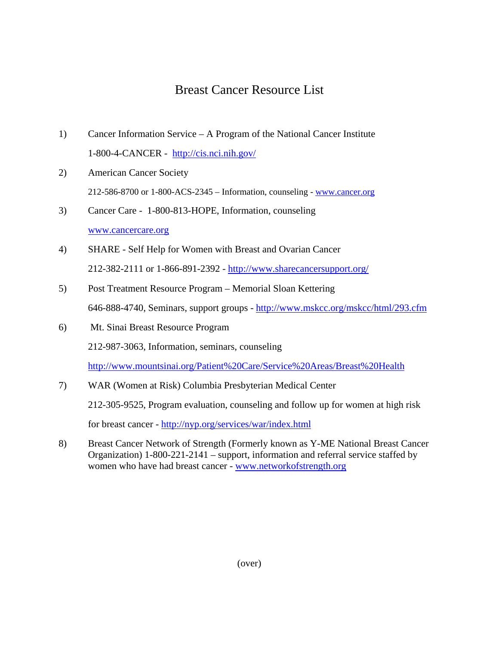## Breast Cancer Resource List

- 1) Cancer Information Service A Program of the National Cancer Institute 1-800-4-CANCER - <http://cis.nci.nih.gov/>
- 2) American Cancer Society 212-586-8700 or 1-800-ACS-2345 – Information, counseling - [www.cancer.org](http://www.cancer.org/)
- 3) Cancer Care 1-800-813-HOPE, Information, counseling [www.cancercare.org](http://www.cancercare.org/)
- 4) SHARE Self Help for Women with Breast and Ovarian Cancer 212-382-2111 or 1-866-891-2392 - http://www.sharecancersupport.org/
- 5) Post Treatment Resource Program Memorial Sloan Kettering 646-888-4740, Seminars, support groups -<http://www.mskcc.org/mskcc/html/293.cfm>
- 6) Mt. Sinai Breast Resource Program 212-987-3063, Information, seminars, counseling

<http://www.mountsinai.org/Patient%20Care/Service%20Areas/Breast%20Health>

- 7) WAR (Women at Risk) Columbia Presbyterian Medical Center 212-305-9525, Program evaluation, counseling and follow up for women at high risk for breast cancer -<http://nyp.org/services/war/index.html>
- 8) Breast Cancer Network of Strength (Formerly known as Y-ME National Breast Cancer Organization) 1-800-221-2141 – support, information and referral service staffed by women who have had breast cancer - [www.networkofstrength.org](http://www.networkofstrength.org/)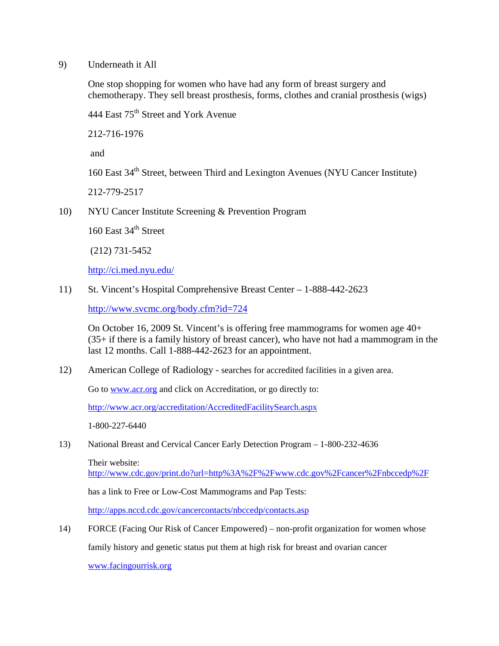## 9) Underneath it All

One stop shopping for women who have had any form of breast surgery and chemotherapy. They sell breast prosthesis, forms, clothes and cranial prosthesis (wigs)

444 East 75<sup>th</sup> Street and York Avenue

212-716-1976

and

 $160$  East  $34<sup>th</sup>$  Street, between Third and Lexington Avenues (NYU Cancer Institute)

212-779-2517

10) NYU Cancer Institute Screening & Prevention Program

160 East 34<sup>th</sup> Street

(212) 731-5452

<http://ci.med.nyu.edu/>

11) St. Vincent's Hospital Comprehensive Breast Center – 1-888-442-2623

<http://www.svcmc.org/body.cfm?id=724>

On October 16, 2009 St. Vincent's is offering free mammograms for women age 40+ (35+ if there is a family history of breast cancer), who have not had a mammogram in the last 12 months. Call 1-888-442-2623 for an appointment.

12) American College of Radiology - searches for accredited facilities in a given area.

Go to [www.acr.org](http://www.acr.org/) and click on Accreditation, or go directly to:

<http://www.acr.org/accreditation/AccreditedFacilitySearch.aspx>

1-800-227-6440

13) National Breast and Cervical Cancer Early Detection Program – 1-800-232-4636

Their website:

<http://www.cdc.gov/print.do?url=http%3A%2F%2Fwww.cdc.gov%2Fcancer%2Fnbccedp%2F>

has a link to Free or Low-Cost Mammograms and Pap Tests:

<http://apps.nccd.cdc.gov/cancercontacts/nbccedp/contacts.asp>

14) FORCE (Facing Our Risk of Cancer Empowered) – non-profit organization for women whose family history and genetic status put them at high risk for breast and ovarian cancer

[www.facingourrisk.org](http://www.facingourrisk.org/)